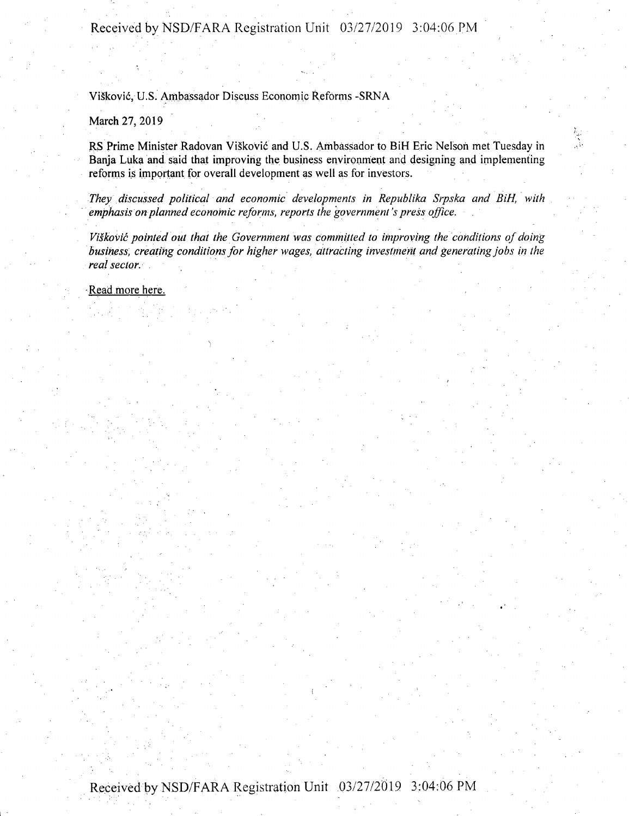## Received by NSD/FARA Registration Unit 03/27/2019 3:04:06 PM

ViSkovic, U.S. Ambassador Discuss Economic Reforms -SRNA

>

March 27, 2019

RS Prime Minister Radovan Viskovic and U.S. Ambassador to BiH Eric Nelson met Tuesday in Banja Luka and said that improving the business environment and designing and implementing reforms is important for overall development as well as for investors.

*They discussed political and economic developments in Republika Srpska and BiH, with emphasis on planned economic reforms, reports the government's press office.*

*Viskovic pointed out that the Government was committed to improving the conditions of doing business, creating conditionsfor higher wages, attracting investment and generatingjobs in the realsector.*

- Read more here.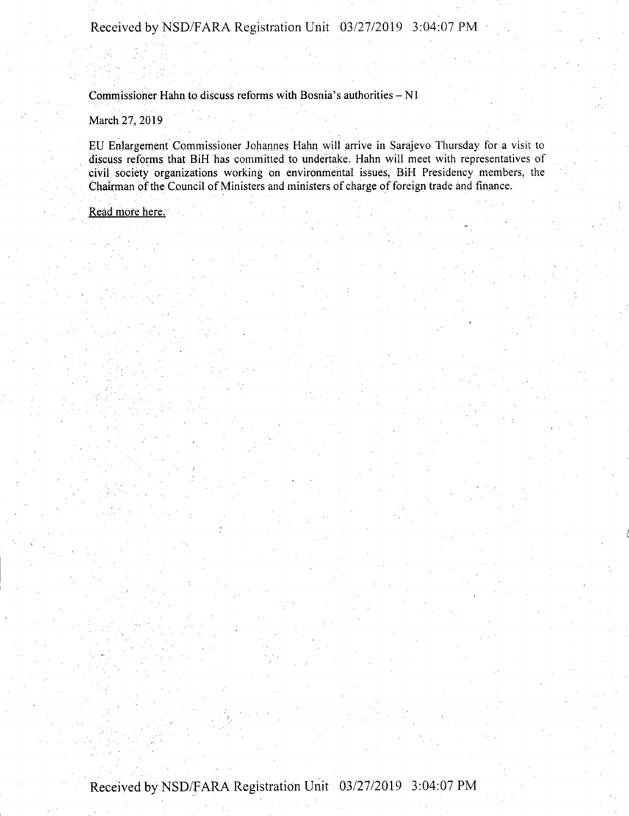Commissioner Hahn to discuss reforms with Bosnia's authorities  $-N1$ 

March 27, 2019

EU Enlargement Commissioner Johannes Hahn will arrive in Sarajevo Thursday for a visit to discuss reforms that BiH has committed to undertake. Hahn will meet with representatives of civil society organizations working on environmental issues, BiH Presidency members, the Chairman of the Council of Ministers and ministers of charge of foreign trade and finance.

Read more here.

Received by NSD/FARA Registration Unit 03/27/2019 3:04:07 PM